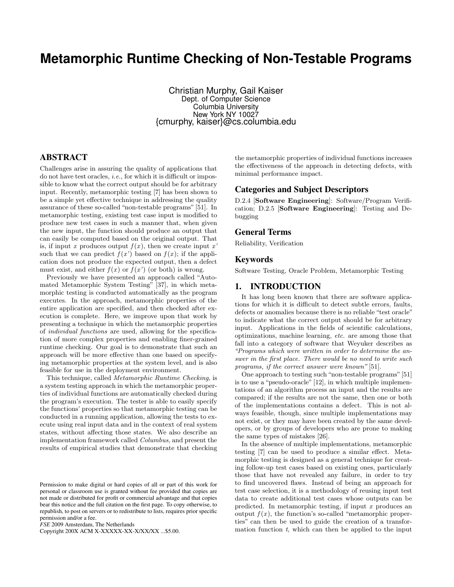# **Metamorphic Runtime Checking of Non-Testable Programs**

Christian Murphy, Gail Kaiser Dept. of Computer Science Columbia University New York NY 10027 {cmurphy, kaiser}@cs.columbia.edu

# ABSTRACT

Challenges arise in assuring the quality of applications that do not have test oracles, i.e., for which it is difficult or impossible to know what the correct output should be for arbitrary input. Recently, metamorphic testing [7] has been shown to be a simple yet effective technique in addressing the quality assurance of these so-called "non-testable programs" [51]. In metamorphic testing, existing test case input is modified to produce new test cases in such a manner that, when given the new input, the function should produce an output that can easily be computed based on the original output. That is, if input x produces output  $f(x)$ , then we create input x' such that we can predict  $f(x')$  based on  $f(x)$ ; if the application does not produce the expected output, then a defect must exist, and either  $f(x)$  or  $f(x')$  (or both) is wrong.

Previously we have presented an approach called "Automated Metamorphic System Testing" [37], in which metamorphic testing is conducted automatically as the program executes. In the approach, metamorphic properties of the entire application are specified, and then checked after execution is complete. Here, we improve upon that work by presenting a technique in which the metamorphic properties of individual functions are used, allowing for the specification of more complex properties and enabling finer-grained runtime checking. Our goal is to demonstrate that such an approach will be more effective than one based on specifying metamorphic properties at the system level, and is also feasible for use in the deployment environment.

This technique, called Metamorphic Runtime Checking, is a system testing approach in which the metamorphic properties of individual functions are automatically checked during the program's execution. The tester is able to easily specify the functions' properties so that metamorphic testing can be conducted in a running application, allowing the tests to execute using real input data and in the context of real system states, without affecting those states. We also describe an implementation framework called Columbus, and present the results of empirical studies that demonstrate that checking

*FSE* 2009 Amsterdam, The Netherlands

Copyright 200X ACM X-XXXXX-XX-X/XX/XX ...\$5.00.

the metamorphic properties of individual functions increases the effectiveness of the approach in detecting defects, with minimal performance impact.

## Categories and Subject Descriptors

D.2.4 [Software Engineering]: Software/Program Verification; D.2.5 [Software Engineering]: Testing and Debugging

## General Terms

Reliability, Verification

## Keywords

Software Testing, Oracle Problem, Metamorphic Testing

## 1. INTRODUCTION

It has long been known that there are software applications for which it is difficult to detect subtle errors, faults, defects or anomalies because there is no reliable "test oracle" to indicate what the correct output should be for arbitrary input. Applications in the fields of scientific calculations, optimizations, machine learning, etc. are among those that fall into a category of software that Weyuker describes as "Programs which were written in order to determine the answer in the first place. There would be no need to write such programs, if the correct answer were known" [51].

One approach to testing such "non-testable programs"[51] is to use a "pseudo-oracle" [12], in which multiple implementations of an algorithm process an input and the results are compared; if the results are not the same, then one or both of the implementations contains a defect. This is not always feasible, though, since multiple implementations may not exist, or they may have been created by the same developers, or by groups of developers who are prone to making the same types of mistakes [26].

In the absence of multiple implementations, metamorphic testing [7] can be used to produce a similar effect. Metamorphic testing is designed as a general technique for creating follow-up test cases based on existing ones, particularly those that have not revealed any failure, in order to try to find uncovered flaws. Instead of being an approach for test case selection, it is a methodology of reusing input test data to create additional test cases whose outputs can be predicted. In metamorphic testing, if input  $x$  produces an output  $f(x)$ , the function's so-called "metamorphic properties" can then be used to guide the creation of a transformation function  $t$ , which can then be applied to the input

Permission to make digital or hard copies of all or part of this work for personal or classroom use is granted without fee provided that copies are not made or distributed for profit or commercial advantage and that copies bear this notice and the full citation on the first page. To copy otherwise, to republish, to post on servers or to redistribute to lists, requires prior specific permission and/or a fee.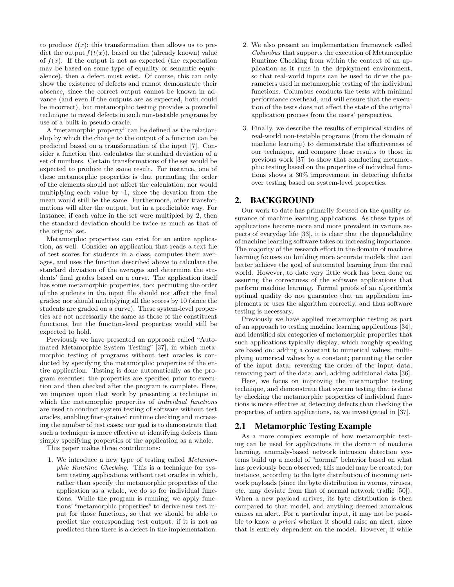to produce  $t(x)$ ; this transformation then allows us to predict the output  $f(t(x))$ , based on the (already known) value of  $f(x)$ . If the output is not as expected (the expectation may be based on some type of equality or semantic equivalence), then a defect must exist. Of course, this can only show the existence of defects and cannot demonstrate their absence, since the correct output cannot be known in advance (and even if the outputs are as expected, both could be incorrect), but metamorphic testing provides a powerful technique to reveal defects in such non-testable programs by use of a built-in pseudo-oracle.

A "metamorphic property" can be defined as the relationship by which the change to the output of a function can be predicted based on a transformation of the input [7]. Consider a function that calculates the standard deviation of a set of numbers. Certain transformations of the set would be expected to produce the same result. For instance, one of these metamorphic properties is that permuting the order of the elements should not affect the calculation; nor would multiplying each value by -1, since the devation from the mean would still be the same. Furthermore, other transformations will alter the output, but in a predictable way. For instance, if each value in the set were multipled by 2, then the standard deviation should be twice as much as that of the original set.

Metamorphic properties can exist for an entire application, as well. Consider an application that reads a text file of test scores for students in a class, computes their averages, and uses the function described above to calculate the standard deviation of the averages and determine the students' final grades based on a curve. The application itself has some metamorphic properties, too: permuting the order of the students in the input file should not affect the final grades; nor should multiplying all the scores by 10 (since the students are graded on a curve). These system-level properties are not necessarily the same as those of the constituent functions, but the function-level properties would still be expected to hold.

Previously we have presented an approach called "Automated Metamorphic System Testing" [37], in which metamorphic testing of programs without test oracles is conducted by specifying the metamorphic properties of the entire application. Testing is done automatically as the program executes: the properties are specified prior to execution and then checked after the program is complete. Here, we improve upon that work by presenting a technique in which the metamorphic properties of *individual functions* are used to conduct system testing of software without test oracles, enabling finer-grained runtime checking and increasing the number of test cases; our goal is to demonstrate that such a technique is more effective at identifying defects than simply specifying properties of the application as a whole.

This paper makes three contributions:

1. We introduce a new type of testing called Metamorphic Runtime Checking. This is a technique for system testing applications without test oracles in which, rather than specify the metamorphic properties of the application as a whole, we do so for individual functions. While the program is running, we apply functions' "metamorphic properties" to derive new test input for those functions, so that we should be able to predict the corresponding test output; if it is not as predicted then there is a defect in the implementation.

- 2. We also present an implementation framework called Columbus that supports the execution of Metamorphic Runtime Checking from within the context of an application as it runs in the deployment environment, so that real-world inputs can be used to drive the parameters used in metamorphic testing of the individual functions. Columbus conducts the tests with minimal performance overhead, and will ensure that the execution of the tests does not affect the state of the original application process from the users' perspective.
- 3. Finally, we describe the results of empirical studies of real-world non-testable programs (from the domain of machine learning) to demonstrate the effectiveness of our technique, and compare these results to those in previous work [37] to show that conducting metamorphic testing based on the properties of individual functions shows a 30% improvement in detecting defects over testing based on system-level properties.

## 2. BACKGROUND

Our work to date has primarily focused on the quality assurance of machine learning applications. As these types of applications become more and more prevalent in various aspects of everyday life [33], it is clear that the dependability of machine learning software takes on increasing importance. The majority of the research effort in the domain of machine learning focuses on building more accurate models that can better achieve the goal of automated learning from the real world. However, to date very little work has been done on assuring the correctness of the software applications that perform machine learning. Formal proofs of an algorithm's optimal quality do not guarantee that an application implements or uses the algorithm correctly, and thus software testing is necessary.

Previously we have applied metamorphic testing as part of an approach to testing machine learning applications [34], and identified six categories of metamorphic properties that such applications typically display, which roughly speaking are based on: adding a constant to numerical values; multiplying numerical values by a constant; permuting the order of the input data; reversing the order of the input data; removing part of the data; and, adding additional data [36].

Here, we focus on improving the metamorphic testing technique, and demonstrate that system testing that is done by checking the metamorphic properties of individual functions is more effective at detecting defects than checking the properties of entire applications, as we investigated in [37].

## 2.1 Metamorphic Testing Example

As a more complex example of how metamorphic testing can be used for applications in the domain of machine learning, anomaly-based network intrusion detection systems build up a model of "normal" behavior based on what has previously been observed; this model may be created, for instance, according to the byte distribution of incoming network payloads (since the byte distribution in worms, viruses, etc. may deviate from that of normal network traffic [50]). When a new payload arrives, its byte distribution is then compared to that model, and anything deemed anomalous causes an alert. For a particular input, it may not be possible to know a priori whether it should raise an alert, since that is entirely dependent on the model. However, if while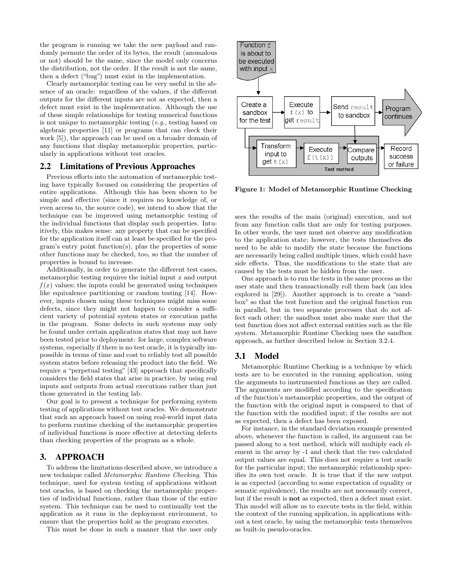the program is running we take the new payload and randomly permute the order of its bytes, the result (anomalous or not) should be the same, since the model only concerns the distribution, not the order. If the result is not the same, then a defect ("bug") must exist in the implementation.

Clearly metamorphic testing can be very useful in the absence of an oracle: regardless of the values, if the different outputs for the different inputs are not as expected, then a defect must exist in the implementation. Although the use of these simple relationships for testing numerical functions is not unique to metamorphic testing (e.g., testing based on algebraic properties [11] or programs that can check their work [5]), the approach can be used on a broader domain of any functions that display metamorphic properties, particularly in applications without test oracles.

## 2.2 Limitations of Previous Approaches

Previous efforts into the automation of metamorphic testing have typically focused on considering the properties of entire applications. Although this has been shown to be simple and effective (since it requires no knowledge of, or even access to, the source code), we intend to show that the technique can be improved using metamorphic testing of the individual functions that display such properties. Intuitively, this makes sense: any property that can be specified for the application itself can at least be specified for the program's entry point function(s), plus the properties of some other functions may be checked, too, so that the number of properties is bound to increase.

Additionally, in order to generate the different test cases, metamorphic testing requires the initial input  $x$  and output  $f(x)$  values; the inputs could be generated using techniques like equivalence partitioning or random testing [14]. However, inputs chosen using these techniques might miss some defects, since they might not happen to consider a sufficient variety of potential system states or execution paths in the program. Some defects in such systems may only be found under certain application states that may not have been tested prior to deployment: for large, complex software systems, especially if there is no test oracle, it is typically impossible in terms of time and cost to reliably test all possible system states before releasing the product into the field. We require a "perpetual testing" [43] approach that specifically considers the field states that arise in practice, by using real inputs and outputs from actual executions rather than just those generated in the testing lab.

Our goal is to present a technique for performing system testing of applications without test oracles. We demonstrate that such an approach based on using real-world input data to perform runtime checking of the metamorphic properties of individual functions is more effective at detecting defects than checking properties of the program as a whole.

# 3. APPROACH

To address the limitations described above, we introduce a new technique called Metamorphic Runtime Checking. This technique, used for system testing of applications without test oracles, is based on checking the metamorphic properties of individual functions, rather than those of the entire system. This technique can be used to continually test the application as it runs in the deployment environment, to ensure that the properties hold as the program executes.

This must be done in such a manner that the user only



Figure 1: Model of Metamorphic Runtime Checking

sees the results of the main (original) execution, and not from any function calls that are only for testing purposes. In other words, the user must not observe any modification to the application state; however, the tests themselves do need to be able to modify the state because the functions are necessarily being called multiple times, which could have side effects. Thus, the modifications to the state that are caused by the tests must be hidden from the user.

One approach is to run the tests in the same process as the user state and then transactionally roll them back (an idea explored in [29]). Another approach is to create a "sandbox" so that the test function and the original function run in parallel, but in two separate processes that do not affect each other; the sandbox must also make sure that the test function does not affect external entities such as the file system. Metamorphic Runtime Checking uses the sandbox approach, as further described below in Section 3.2.4.

## 3.1 Model

Metamorphic Runtime Checking is a technique by which tests are to be executed in the running application, using the arguments to instrumented functions as they are called. The arguments are modified according to the specification of the function's metamorphic properties, and the output of the function with the original input is compared to that of the function with the modified input; if the results are not as expected, then a defect has been exposed.

For instance, in the standard deviation example presented above, whenever the function is called, its argument can be passed along to a test method, which will multiply each element in the array by -1 and check that the two calculated output values are equal. This does not require a test oracle for the particular input; the metamorphic relationship specifies its own test oracle. It is true that if the new output is as expected (according to some expectation of equality or sematic equivalence), the results are not necessarily correct, but if the result is not as expected, then a defect must exist. This model will allow us to execute tests in the field, within the context of the running application, in applications without a test oracle, by using the metamorphic tests themselves as built-in pseudo-oracles.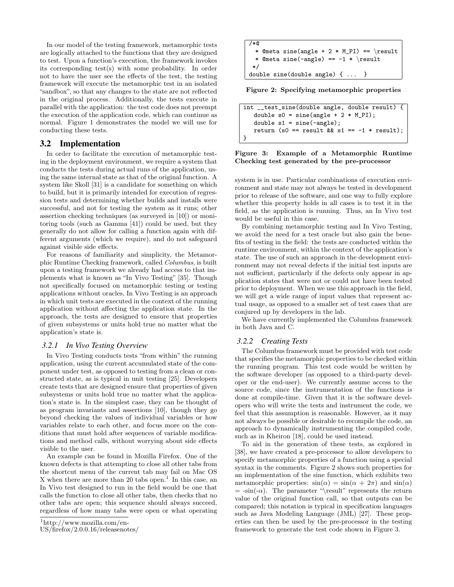In our model of the testing framework, metamorphic tests are logically attached to the functions that they are designed to test. Upon a function's execution, the framework invokes its corresponding test(s) with some probability. In order not to have the user see the effects of the test, the testing framework will execute the metamorphic test in an isolated "sandbox", so that any changes to the state are not reflected in the original process. Additionally, the tests execute in parallel with the application: the test code does not preempt the execution of the application code, which can continue as normal. Figure 1 demonstrates the model we will use for conducting these tests.

#### 3.2 Implementation

In order to facilitate the execution of metamorphic testing in the deployment environment, we require a system that conducts the tests during actual runs of the application, using the same internal state as that of the original function. A system like Skoll [31] is a candidate for something on which to build, but it is primarily intended for execution of regression tests and determining whether builds and installs were successful, and not for testing the system as it runs; other assertion checking techniques (as surveyed in [10]) or monitoring tools (such as Gamma [41]) could be used, but they generally do not allow for calling a function again with different arguments (which we require), and do not safeguard against visible side effects.

For reasons of familiarity and simplicity, the Metamorphic Runtime Checking framework, called Columbus, is built upon a testing framework we already had access to that implements what is known as "In Vivo Testing" [35]. Though not specifically focused on metamorphic testing or testing applications without oracles, In Vivo Testing is an approach in which unit tests are executed in the context of the running application without affecting the application state. In the approach, the tests are designed to ensure that properties of given subsystems or units hold true no matter what the application's state is.

#### *3.2.1 In Vivo Testing Overview*

In Vivo Testing conducts tests "from within" the running application, using the current accumulated state of the component under test, as opposed to testing from a clean or constructed state, as is typical in unit testing [25]. Developers create tests that are designed ensure that properties of given subsystems or units hold true no matter what the application's state is. In the simplest case, they can be thought of as program invariants and assertions [10], though they go beyond checking the values of individual variables or how variables relate to each other, and focus more on the conditions that must hold after sequences of variable modifications and method calls, without worrying about side effects visible to the user.

An example can be found in Mozilla Firefox. One of the known defects is that attempting to close all other tabs from the shortcut menu of the current tab may fail on Mac OS X when there are more than 20 tabs open.<sup>1</sup> In this case, an In Vivo test designed to run in the field would be one that calls the function to close all other tabs, then checks that no other tabs are open; this sequence should always succeed, regardless of how many tabs were open or what operating

```
/*@
 * @meta sine(angle + 2 * M_PI) == \result
 * @meta sine(-angle) == -1 * \result
*/
double sine(double angle) { ... }
```
Figure 2: Specifying metamorphic properties

```
int __test_sine(double angle, double result) {
   double s0 = sine(angle + 2 * M_PI);
   double s1 = sine(-angle);
   return (s0 == result && s1 == -1 * result);
}
```
#### Figure 3: Example of a Metamorphic Runtime Checking test generated by the pre-processor

system is in use. Particular combinations of execution environment and state may not always be tested in development prior to release of the software, and one way to fully explore whether this property holds in all cases is to test it in the field, as the application is running. Thus, an In Vivo test would be useful in this case.

By combining metamorphic testing and In Vivo Testing, we avoid the need for a test oracle but also gain the benefits of testing in the field: the tests are conducted within the runtime environment, within the context of the application's state. The use of such an approach in the development environment may not reveal defects if the initial test inputs are not sufficient, particularly if the defects only appear in application states that were not or could not have been tested prior to deployment. When we use this approach in the field, we will get a wide range of input values that represent actual usage, as opposed to a smaller set of test cases that are conjured up by developers in the lab.

We have currently implemented the Columbus framework in both Java and C.

#### *3.2.2 Creating Tests*

The Columbus framework must be provided with test code that specifies the metamorphic properties to be checked within the running program. This test code would be written by the software developer (as opposed to a third-party developer or the end-user). We currently assume access to the source code, since the instrumentation of the functions is done at compile-time. Given that it is the software developers who will write the tests and instrument the code, we feel that this assumption is reasonable. However, as it may not always be possible or desirable to recompile the code, an approach to dynamically instrumenting the compiled code, such as in Kheiron [18], could be used instead.

To aid in the generation of these tests, as explored in [38], we have created a pre-processor to allow developers to specify metamorphic properties of a function using a special syntax in the comments. Figure 2 shows such properties for an implementation of the sine function, which exhibits two metamorphic properties:  $sin(\alpha) = sin(\alpha + 2\pi)$  and  $sin(\alpha)$  $= -\sin(-\alpha)$ . The parameter "\result" represents the return value of the original function call, so that outputs can be compared; this notation is typical in specification languages such as Java Modeling Language (JML) [27]. These properties can then be used by the pre-processor in the testing framework to generate the test code shown in Figure 3.

 $1$ http://www.mozilla.com/en-

US/firefox/2.0.0.16/releasenotes/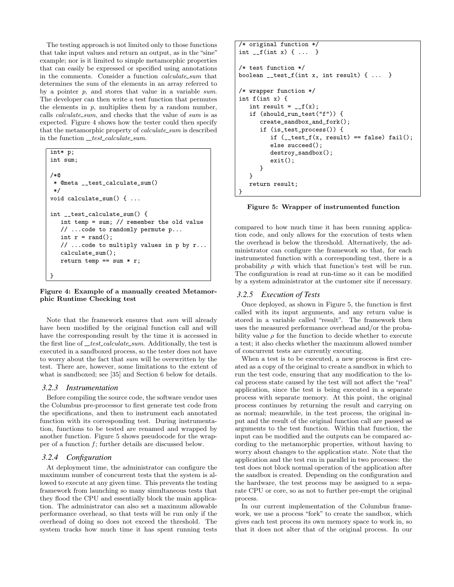The testing approach is not limited only to those functions that take input values and return an output, as in the "sine" example; nor is it limited to simple metamorphic properties that can easily be expressed or specified using annotations in the comments. Consider a function calculate sum that determines the sum of the elements in an array referred to by a pointer  $p$ , and stores that value in a variable sum. The developer can then write a test function that permutes the elements in  $p$ , multiplies them by a random number, calls *calculate\_sum*, and checks that the value of sum is as expected. Figure 4 shows how the tester could then specify that the metamorphic property of *calculate\_sum* is described in the function  $\_test\_calculate\_sum$ .

```
int* p;
int sum;
/*@
* @meta __test_calculate_sum()
*/
void calculate_sum() { ...
int __test_calculate_sum() {
   int temp = sum; // remember the old value
   // ...code to randomly permute p...
   int r = rand();
   // ...code to multiply values in p by r...
   calculate_sum();
   return temp == sum * r;
}
```
Figure 4: Example of a manually created Metamorphic Runtime Checking test

Note that the framework ensures that sum will already have been modified by the original function call and will have the corresponding result by the time it is accessed in the first line of  $\_\_test\_calculate\_sum$ . Additionally, the test is executed in a sandboxed process, so the tester does not have to worry about the fact that sum will be overwritten by the test. There are, however, some limitations to the extent of what is sandboxed; see [35] and Section 6 below for details.

#### *3.2.3 Instrumentation*

Before compiling the source code, the software vendor uses the Columbus pre-processor to first generate test code from the specifications, and then to instrument each annotated function with its corresponding test. During instrumentation, functions to be tested are renamed and wrapped by another function. Figure 5 shows pseudocode for the wrapper of a function  $f$ ; further details are discussed below.

#### *3.2.4 Configuration*

At deployment time, the administrator can configure the maximum number of concurrent tests that the system is allowed to execute at any given time. This prevents the testing framework from launching so many simultaneous tests that they flood the CPU and essentially block the main application. The administrator can also set a maximum allowable performance overhead, so that tests will be run only if the overhead of doing so does not exceed the threshold. The system tracks how much time it has spent running tests

```
/* original function */
int _{-}f(int x) { ... }/* test function */
boolean __test_f(int x, int result) { ... }
/* wrapper function */
int f(int x) {
   int result = -f(x);
   if (should_run_test("f")) {
      create_sandbox_and_fork();
      if (is_test_process()) {
         if (\_test_f(x, result) == false) fail();
         else succeed();
         destroy_sandbox();
         exit();
      }
   }
   return result;
}
```
Figure 5: Wrapper of instrumented function

compared to how much time it has been running application code, and only allows for the execution of tests when the overhead is below the threshold. Alternatively, the administrator can configure the framework so that, for each instrumented function with a corresponding test, there is a probability  $\rho$  with which that function's test will be run. The configuration is read at run-time so it can be modified by a system administrator at the customer site if necessary.

#### *3.2.5 Execution of Tests*

Once deployed, as shown in Figure 5, the function is first called with its input arguments, and any return value is stored in a variable called "result". The framework then uses the measured performance overhead and/or the probability value  $\rho$  for the function to decide whether to execute a test; it also checks whether the maximum allowed number of concurrent tests are currently executing.

When a test is to be executed, a new process is first created as a copy of the original to create a sandbox in which to run the test code, ensuring that any modification to the local process state caused by the test will not affect the "real" application, since the test is being executed in a separate process with separate memory. At this point, the original process continues by returning the result and carrying on as normal; meanwhile, in the test process, the original input and the result of the original function call are passed as arguments to the test function. Within that function, the input can be modified and the outputs can be compared according to the metamorphic properties, without having to worry about changes to the application state. Note that the application and the test run in parallel in two processes: the test does not block normal operation of the application after the sandbox is created. Depending on the configuration and the hardware, the test process may be assigned to a separate CPU or core, so as not to further pre-empt the original process.

In our current implementation of the Columbus framework, we use a process "fork" to create the sandbox, which gives each test process its own memory space to work in, so that it does not alter that of the original process. In our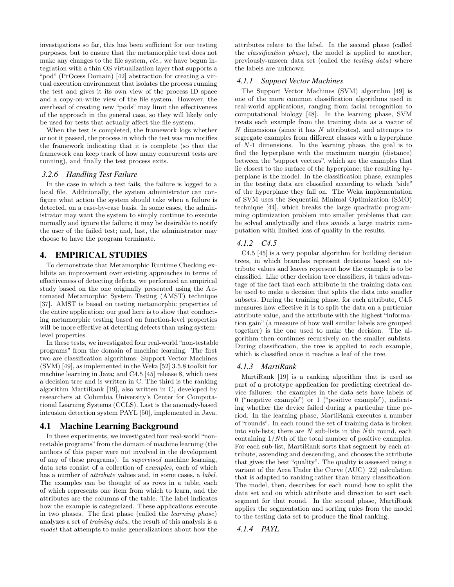investigations so far, this has been sufficient for our testing purposes, but to ensure that the metamorphic test does not make any changes to the file system, etc., we have begun integration with a thin OS virtualization layer that supports a "pod" (PrOcess Domain) [42] abstraction for creating a virtual execution environment that isolates the process running the test and gives it its own view of the process ID space and a copy-on-write view of the file system. However, the overhead of creating new "pods" may limit the effectiveness of the approach in the general case, so they will likely only be used for tests that actually affect the file system.

When the test is completed, the framework logs whether or not it passed, the process in which the test was run notifies the framework indicating that it is complete (so that the framework can keep track of how many concurrent tests are running), and finally the test process exits.

#### *3.2.6 Handling Test Failure*

In the case in which a test fails, the failure is logged to a local file. Additionally, the system administrator can configure what action the system should take when a failure is detected, on a case-by-case basis. In some cases, the administrator may want the system to simply continue to execute normally and ignore the failure; it may be desirable to notify the user of the failed test; and, last, the administrator may choose to have the program terminate.

## 4. EMPIRICAL STUDIES

To demonstrate that Metamorphic Runtime Checking exhibits an improvement over existing approaches in terms of effectiveness of detecting defects, we performed an empirical study based on the one originally presented using the Automated Metamorphic System Testing (AMST) technique [37]. AMST is based on testing metamorphic properties of the entire application; our goal here is to show that conducting metamorphic testing based on function-level properties will be more effective at detecting defects than using systemlevel properties.

In these tests, we investigated four real-world"non-testable programs" from the domain of machine learning. The first two are classification algorithms: Support Vector Machines (SVM) [49], as implemented in the Weka [52] 3.5.8 toolkit for machine learning in Java; and C4.5 [45] release 8, which uses a decision tree and is written in C. The third is the ranking algorithm MartiRank [19], also written in C, developed by researchers at Columbia University's Center for Computational Learning Systems (CCLS). Last is the anomaly-based intrusion detection system PAYL [50], implemented in Java.

## 4.1 Machine Learning Background

In these experiments, we investigated four real-world"nontestable programs" from the domain of machine learning (the authors of this paper were not involved in the development of any of these programs). In supervised machine learning, data sets consist of a collection of examples, each of which has a number of *attribute* values and, in some cases, a *label*. The examples can be thought of as rows in a table, each of which represents one item from which to learn, and the attributes are the columns of the table. The label indicates how the example is categorized. These applications execute in two phases. The first phase (called the learning phase) analyzes a set of training data; the result of this analysis is a model that attempts to make generalizations about how the attributes relate to the label. In the second phase (called the classification phase), the model is applied to another, previously-unseen data set (called the testing data) where the labels are unknown.

#### *4.1.1 Support Vector Machines*

The Support Vector Machines (SVM) algorithm [49] is one of the more common classification algorithms used in real-world applications, ranging from facial recognition to computational biology [48]. In the learning phase, SVM treats each example from the training data as a vector of N dimensions (since it has N attributes), and attempts to segregate examples from different classes with a hyperplane of  $N-1$  dimensions. In the learning phase, the goal is to find the hyperplane with the maximum margin (distance) between the "support vectors", which are the examples that lie closest to the surface of the hyperplane; the resulting hyperplane is the model. In the classification phase, examples in the testing data are classified according to which "side" of the hyperplane they fall on. The Weka implementation of SVM uses the Sequential Minimal Optimization (SMO) technique [44], which breaks the large quadratic programming optimization problem into smaller problems that can be solved analytically and thus avoids a large matrix computation with limited loss of quality in the results.

#### *4.1.2 C4.5*

C4.5 [45] is a very popular algorithm for building decision trees, in which branches represent decisions based on attribute values and leaves represent how the example is to be classified. Like other decision tree classifiers, it takes advantage of the fact that each attribute in the training data can be used to make a decision that splits the data into smaller subsets. During the training phase, for each attribute, C4.5 measures how effective it is to split the data on a particular attribute value, and the attribute with the highest "information gain" (a measure of how well similar labels are grouped together) is the one used to make the decision. The algorithm then continues recursively on the smaller sublists. During classification, the tree is applied to each example, which is classified once it reaches a leaf of the tree.

#### *4.1.3 MartiRank*

MartiRank [19] is a ranking algorithm that is used as part of a prototype application for predicting electrical device failures: the examples in the data sets have labels of 0 ("negative example") or 1 ("positive example"), indicating whether the device failed during a particular time period. In the learning phase, MartiRank executes a number of "rounds". In each round the set of training data is broken into sub-lists; there are  $N$  sub-lists in the  $N$ th round, each containing  $1/N$ th of the total number of positive examples. For each sub-list, MartiRank sorts that segment by each attribute, ascending and descending, and chooses the attribute that gives the best "quality". The quality is assessed using a variant of the Area Under the Curve (AUC) [22] calculation that is adapted to ranking rather than binary classification. The model, then, describes for each round how to split the data set and on which attribute and direction to sort each segment for that round. In the second phase, MartiRank applies the segmentation and sorting rules from the model to the testing data set to produce the final ranking.

*4.1.4 PAYL*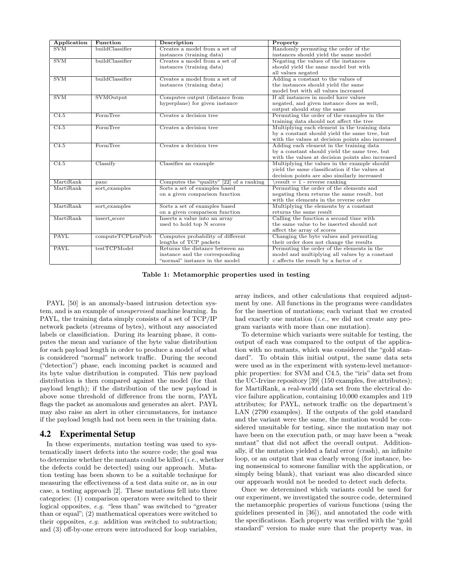| Application | Function          | Description                                | Property                                          |  |  |
|-------------|-------------------|--------------------------------------------|---------------------------------------------------|--|--|
| <b>SVM</b>  | buildClassifier   | Creates a model from a set of              | Randomly permuting the order of the               |  |  |
|             |                   | instances (training data)                  | instances should yield the same model             |  |  |
| <b>SVM</b>  | buildClassifier   | Creates a model from a set of              | Negating the values of the instances              |  |  |
|             |                   | instances (training data)                  | should yield the same model but with              |  |  |
|             |                   |                                            | all values negated                                |  |  |
| <b>SVM</b>  | buildClassifier   | Creates a model from a set of              | Adding a constant to the values of                |  |  |
|             |                   | instances (training data)                  | the instances should yield the same               |  |  |
|             |                   |                                            | model but with all values increased               |  |  |
| <b>SVM</b>  | SVMOutput         | Computes output (distance from             | If all instances in model have values             |  |  |
|             |                   | hyperplane) for given instance             | negated, and given instance does as well,         |  |  |
|             |                   |                                            | output should stay the same                       |  |  |
| C4.5        | FormTree          | Creates a decision tree                    | Permuting the order of the examples in the        |  |  |
|             |                   |                                            | training data should not affect the tree          |  |  |
| C4.5        | FormTree          | Creates a decision tree                    | Multiplying each element in the training data     |  |  |
|             |                   |                                            | by a constant should yield the same tree, but     |  |  |
|             |                   |                                            | with the values at decision points also increased |  |  |
| C4.5        | FormTree          | Creates a decision tree                    | Adding each element in the training data          |  |  |
|             |                   |                                            | by a constant should yield the same tree, but     |  |  |
|             |                   |                                            | with the values at decision points also increased |  |  |
| C4.5        | Classify          | Classifies an example                      | Multiplying the values in the example should      |  |  |
|             |                   |                                            | yield the same classification if the values at    |  |  |
|             |                   |                                            | decision points are also similarly increased      |  |  |
| MartiRank   | pauc              | Computes the "quality" $[22]$ of a ranking | result $= 1$ - reverse ranking                    |  |  |
| MartiRank   | sort_examples     | Sorts a set of examples based              | Permuting the order of the elements and           |  |  |
|             |                   | on a given comparison function             | negating them returns the same result, but        |  |  |
|             |                   |                                            | with the elements in the reverse order            |  |  |
| MartiRank   | sort_examples     | Sorts a set of examples based              | Multiplying the elements by a constant            |  |  |
|             |                   | on a given comparison function             | returns the same result                           |  |  |
| MartiRank   | insert_score      | Inserts a value into an array              | Calling the function a second time with           |  |  |
|             |                   | used to hold top N scores                  | the same value to be inserted should not          |  |  |
|             |                   |                                            | affect the array of scores                        |  |  |
| PAYL        | computerCPLenProb | Computes probability of different          | Changing the byte values and permuting            |  |  |
|             |                   | lengths of TCP packets                     | their order does not change the results           |  |  |
| <b>PAYL</b> | testTCPModel      | Returns the distance between an            | Permuting the order of the elements in the        |  |  |
|             |                   | instance and the corresponding             | model and multiplying all values by a constant    |  |  |
|             |                   | "normal" instance in the model             | $c$ affects the result by a factor of $c$         |  |  |

Table 1: Metamorphic properties used in testing

PAYL [50] is an anomaly-based intrusion detection system, and is an example of unsupervised machine learning. In PAYL, the training data simply consists of a set of TCP/IP network packets (streams of bytes), without any associated labels or classificiation. During its learning phase, it computes the mean and variance of the byte value distribution for each payload length in order to produce a model of what is considered "normal" network traffic. During the second ("detection") phase, each incoming packet is scanned and its byte value distribution is computed. This new payload distribution is then compared against the model (for that payload length); if the distribution of the new payload is above some threshold of difference from the norm, PAYL flags the packet as anomalous and generates an alert. PAYL may also raise an alert in other circumstances, for instance if the payload length had not been seen in the training data.

## 4.2 Experimental Setup

In these experiments, mutation testing was used to systematically insert defects into the source code; the goal was to determine whether the mutants could be killed  $(i.e.,$  whether the defects could be detected) using our approach. Mutation testing has been shown to be a suitable technique for measuring the effectiveness of a test data suite or, as in our case, a testing approach [2]. These mutations fell into three categories: (1) comparison operators were switched to their logical opposites, e.g. "less than" was switched to "greater than or equal"; (2) mathematical operators were switched to their opposites, e.g. addition was switched to subtraction; and (3) off-by-one errors were introduced for loop variables,

array indices, and other calculations that required adjustment by one. All functions in the programs were candidates for the insertion of mutations; each variant that we created had exactly one mutation (*i.e.*, we did not create any program variants with more than one mutation).

To determine which variants were suitable for testing, the output of each was compared to the output of the application with no mutants, which was considered the "gold standard". To obtain this initial output, the same data sets were used as in the experiment with system-level metamorphic properties: for SVM and C4.5, the "iris" data set from the UC-Irvine repository [39] (150 examples, five attributes); for MartiRank, a real-world data set from the electrical device failure application, containing 10,000 examples and 119 attributes; for PAYL, network traffic on the department's LAN (2790 examples). If the outputs of the gold standard and the variant were the same, the mutation would be considered unsuitable for testing, since the mutation may not have been on the execution path, or may have been a "weak mutant" that did not affect the overall output. Additionally, if the mutation yielded a fatal error (crash), an infinite loop, or an output that was clearly wrong (for instance, being nonsensical to someone familiar with the application, or simply being blank), that variant was also discarded since our approach would not be needed to detect such defects.

Once we deteremined which variants could be used for our experiment, we investigated the source code, determined the metamorphic properties of various functions (using the guidelines presented in [36]), and annotated the code with the specifications. Each property was verified with the "gold standard" version to make sure that the property was, in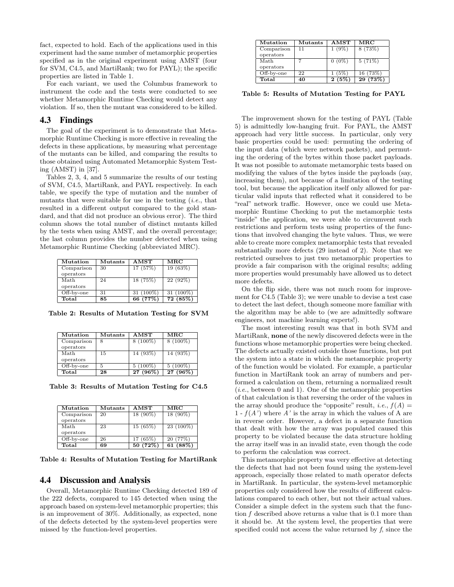fact, expected to hold. Each of the applications used in this experiment had the same number of metamorphic properties specified as in the original experiment using AMST (four for SVM, C4.5, and MartiRank; two for PAYL); the specific properties are listed in Table 1.

For each variant, we used the Columbus framework to instrument the code and the tests were conducted to see whether Metamorphic Runtime Checking would detect any violation. If so, then the mutant was considered to be killed.

## 4.3 Findings

The goal of the experiment is to demonstrate that Metamorphic Runtime Checking is more effective in revealing the defects in these applications, by measuring what percentage of the mutants can be killed, and comparing the results to those obtained using Automated Metamorphic System Testing (AMST) in [37].

Tables 2, 3, 4, and 5 summarize the results of our testing of SVM, C4.5, MartiRank, and PAYL respectively. In each table, we specify the type of mutation and the number of mutants that were suitable for use in the testing  $(i.e.,$  that resulted in a different output compared to the gold standard, and that did not produce an obvious error). The third column shows the total number of distinct mutants killed by the tests when using AMST, and the overall percentage; the last column provides the number detected when using Metamorphic Runtime Checking (abbreviated MRC).

| Mutation   | Mutants | <b>AMST</b> | MRC         |
|------------|---------|-------------|-------------|
| Comparison | 30      | 17(57%)     | 19(63%)     |
| operators  |         |             |             |
| Math       | 24      | 18 (75%)    | 22(92%)     |
| operators  |         |             |             |
| Off-by-one | 31      | $31(100\%)$ | $31(100\%)$ |
| Total      | 85      | 66(77%)     | 72(85%)     |

Table 2: Results of Mutation Testing for SVM

| Mutation   | Mutants | <b>AMST</b> | MRC        |
|------------|---------|-------------|------------|
| Comparison | 8       | $8(100\%)$  | $8(100\%)$ |
| operators  |         |             |            |
| Math       | 15      | 14(93%)     | 14(93%)    |
| operators  |         |             |            |
| Off-by-one | 5       | $5(100\%)$  | $5(100\%)$ |
| Total      | 28      | 27 (96%)    | 27 (96%)   |

Table 3: Results of Mutation Testing for C4.5

| Mutation   | Mutants | <b>AMST</b> | $\overline{\text{MRC}}$ |
|------------|---------|-------------|-------------------------|
| Comparison | 20      | 18 (90%)    | 18 (90%)                |
| operators  |         |             |                         |
| Math       | 23      | 15 (65%)    | 23 (100%)               |
| operators  |         |             |                         |
| Off-by-one | 26      | 17(65%)     | 20(77%)                 |
| Total      | 69      | 50(72%)     | 61(88%)                 |

Table 4: Results of Mutation Testing for MartiRank

## 4.4 Discussion and Analysis

Overall, Metamorphic Runtime Checking detected 189 of the 222 defects, compared to 145 detected when using the approach based on system-level metamorphic properties; this is an improvement of 30%. Additionally, as expected, none of the defects detected by the system-level properties were missed by the function-level properties.

| Mutation   | ${\bf Mutants}$ | AMST     | $\operatorname{MRC}$ |
|------------|-----------------|----------|----------------------|
| Comparison | 11              | $1(9\%)$ | 8(73%)               |
| operators  |                 |          |                      |
| Math       |                 | $0(0\%)$ | 5(71%)               |
| operators  |                 |          |                      |
| Off-by-one | 22              | 1(5%)    | 16(73%)              |
| Total      | 40              | 2(5%)    | 29(73%)              |

Table 5: Results of Mutation Testing for PAYL

The improvement shown for the testing of PAYL (Table 5) is admittedly low-hanging fruit. For PAYL, the AMST approach had very little success. In particular, only very basic properties could be used: permuting the ordering of the input data (which were network packets), and permuting the ordering of the bytes within those packet payloads. It was not possible to automate metamorphic tests based on modifying the values of the bytes inside the payloads (say, increasing them), not because of a limitation of the testing tool, but because the application itself only allowed for particular valid inputs that reflected what it considered to be "real" network traffic. However, once we could use Metamorphic Runtime Checking to put the metamorphic tests "inside" the application, we were able to circumvent such restrictions and perform tests using properties of the functions that involved changing the byte values. Thus, we were able to create more complex metamorphic tests that revealed substantially more defects (29 instead of 2). Note that we restricted ourselves to just two metamorphic properties to provide a fair comparison with the original results; adding more properties would presumably have allowed us to detect more defects.

On the flip side, there was not much room for improvement for C4.5 (Table 3); we were unable to devise a test case to detect the last defect, though someone more familiar with the algorithm may be able to (we are admittedly software engineers, not machine learning experts!).

The most interesting result was that in both SVM and MartiRank, none of the newly discovered defects were in the functions whose metamorphic properties were being checked. The defects actually existed outside those functions, but put the system into a state in which the metamorphic property of the function would be violated. For example, a particular function in MartiRank took an array of numbers and performed a calculation on them, returning a normalized result  $(i.e., between 0 and 1).$  One of the metamorphic properties of that calculation is that reversing the order of the values in the array should produce the "opposite" result, *i.e.*,  $f(A)$  = 1 -  $f(A')$  where A' is the array in which the values of A are in reverse order. However, a defect in a separate function that dealt with how the array was populated caused this property to be violated because the data structure holding the array itself was in an invalid state, even though the code to perform the calculation was correct.

This metamorphic property was very effective at detecting the defects that had not been found using the system-level approach, especially those related to math operator defects in MartiRank. In particular, the system-level metamorphic properties only considered how the results of different calculations compared to each other, but not their actual values. Consider a simple defect in the system such that the function  $f$  described above returns a value that is 0.1 more than it should be. At the system level, the properties that were specified could not access the value returned by  $f$ , since the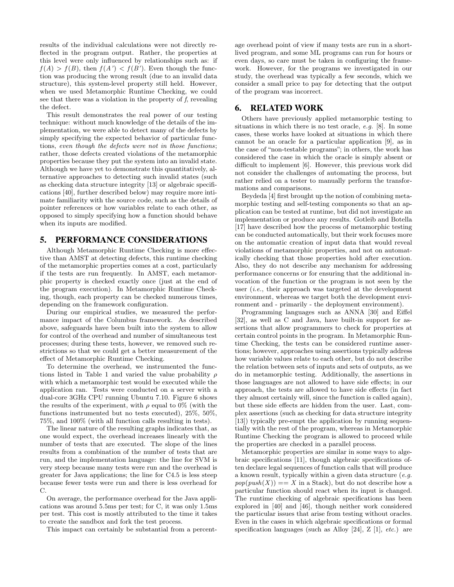results of the individual calculations were not directly reflected in the program output. Rather, the properties at this level were only influenced by relationships such as: if  $f(A) > f(B)$ , then  $f(A') < f(B')$ . Even though the function was producing the wrong result (due to an invalid data structure), this system-level property still held. However, when we used Metamorphic Runtime Checking, we could see that there was a violation in the property of  $f$ , revealing the defect.

This result demonstrates the real power of our testing technique: without much knowledge of the details of the implementation, we were able to detect many of the defects by simply specifying the expected behavior of particular functions, even though the defects were not in those functions; rather, those defects created violations of the metamorphic properties because they put the system into an invalid state. Although we have yet to demonstrate this quantitatively, alternative approaches to detecting such invalid states (such as checking data structure integrity [13] or algebraic specifications [40], further described below) may require more intimate familiarity with the source code, such as the details of pointer references or how variables relate to each other, as opposed to simply specifying how a function should behave when its inputs are modified.

# 5. PERFORMANCE CONSIDERATIONS

Although Metamorphic Runtime Checking is more effective than AMST at detecting defects, this runtime checking of the metamorphic properties comes at a cost, particularly if the tests are run frequently. In AMST, each metamorphic property is checked exactly once (just at the end of the program execution). In Metamorphic Runtime Checking, though, each property can be checked numerous times, depending on the framework configuration.

During our empirical studies, we measured the performance impact of the Columbus framework. As described above, safeguards have been built into the system to allow for control of the overhead and number of simultaneous test processes; during these tests, however, we removed such restrictions so that we could get a better measurement of the effect of Metamorphic Runtime Checking.

To determine the overhead, we instrumented the functions listed in Table 1 and varied the value probability  $\rho$ with which a metamorphic test would be executed while the application ran. Tests were conducted on a server with a dual-core 3GHz CPU running Ubuntu 7.10. Figure 6 shows the results of the experiment, with  $\rho$  equal to 0% (with the functions instrumented but no tests executed), 25%, 50%, 75%, and 100% (with all function calls resulting in tests).

The linear nature of the resulting graphs indicates that, as one would expect, the overhead increases linearly with the number of tests that are executed. The slope of the lines results from a combination of the number of tests that are run, and the implementation language: the line for SVM is very steep because many tests were run and the overhead is greater for Java applications; the line for C4.5 is less steep because fewer tests were run and there is less overhead for C.

On average, the performance overhead for the Java applications was around 5.5ms per test; for C, it was only 1.5ms per test. This cost is mostly attributed to the time it takes to create the sandbox and fork the test process.

This impact can certainly be substantial from a percent-

age overhead point of view if many tests are run in a shortlived program, and some ML programs can run for hours or even days, so care must be taken in configuring the framework. However, for the programs we investigated in our study, the overhead was typically a few seconds, which we consider a small price to pay for detecting that the output of the program was incorrect.

## 6. RELATED WORK

Others have previously applied metamorphic testing to situations in which there is no test oracle, e.g. [8]. In some cases, these works have looked at situations in which there cannot be an oracle for a particular application [9], as in the case of "non-testable programs"; in others, the work has considered the case in which the oracle is simply absent or difficult to implement [6]. However, this previous work did not consider the challenges of automating the process, but rather relied on a tester to manually perform the transformations and comparisons.

Beydeda [4] first brought up the notion of combining metamorphic testing and self-testing components so that an application can be tested at runtime, but did not investigate an implementation or produce any results. Gotleib and Botella [17] have described how the process of metamorphic testing can be conducted automatically, but their work focuses more on the automatic creation of input data that would reveal violations of metamorphic properties, and not on automatically checking that those properties hold after execution. Also, they do not describe any mechanism for addressing performance concerns or for ensuring that the additional invocation of the function or the program is not seen by the user (i.e., their approach was targeted at the development environment, whereas we target both the development environment and - primarily - the deployment environment).

Programming languages such as ANNA [30] and Eiffel [32], as well as C and Java, have built-in support for assertions that allow programmers to check for properties at certain control points in the program. In Metamorphic Runtime Checking, the tests can be considered runtime assertions; however, approaches using assertions typically address how variable values relate to each other, but do not describe the relation between sets of inputs and sets of outputs, as we do in metamorphic testing. Additionally, the assertions in those languages are not allowed to have side effects; in our approach, the tests are allowed to have side effects (in fact they almost certainly will, since the function is called again), but these side effects are hidden from the user. Last, complex assertions (such as checking for data structure integrity [13]) typically pre-empt the application by running sequentially with the rest of the program, whereas in Metamorphic Runtime Checking the program is allowed to proceed while the properties are checked in a parallel process.

Metamorphic properties are similar in some ways to algebraic specifications [11], though algebraic specifications often declare legal sequences of function calls that will produce a known result, typically within a given data structure  $(e.q.)$  $pop(push(X)) == X$  in a Stack), but do not describe how a particular function should react when its input is changed. The runtime checking of algebraic specifications has been explored in [40] and [46], though neither work considered the particular issues that arise from testing without oracles. Even in the cases in which algebraic specifications or formal specification languages (such as Alloy [24],  $Z$  [1],  $etc.$ ) are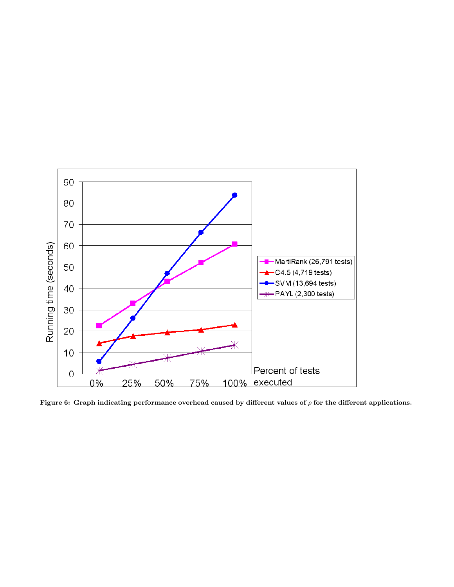

Figure 6: Graph indicating performance overhead caused by different values of  $\rho$  for the different applications.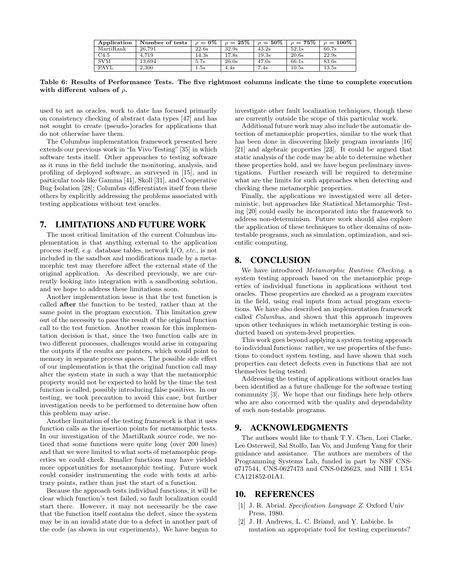| Application | Number of tests | $\rho = 0\%$ | $= 25\%$ | $\rho = 50\%$ | $\rho = 75\%$ | $\rho = 100\%$ |
|-------------|-----------------|--------------|----------|---------------|---------------|----------------|
| MartiRank   | 26.791          | 22.6s        | 32.9s    | 43.2s         | 52.1s         | 60.7s          |
| C4.5        | 4.719           | 14.3s        | 17.8s    | 19.3s         | 20.6s         | 22.9s          |
| <b>SVM</b>  | 13.694          | 5.7s         | 26.0s    | 47.0s         | 66.1s         | 83.6s          |
| <b>PAYL</b> | 2,300           | 1.5s         | 4.4s     | 7.4s          | 10.5s         | 13.5s          |

Table 6: Results of Performance Tests. The five rightmost columns indicate the time to complete execution with different values of  $\rho$ .

used to act as oracles, work to date has focused primarily on consistency checking of abstract data types [47] and has not sought to create (pseudo-)oracles for applications that do not otherwise have them.

The Columbus implementation framework presented here extends our previous work in "In Vivo Testing" [35] in which software tests itself. Other approaches to testing software as it runs in the field include the monitoring, analysis, and profiling of deployed software, as surveyed in [15], and in particular tools like Gamma [41], Skoll [31], and Cooperative Bug Isolation [28]; Columbus differentiates itself from these others by explicitly addressing the problems associated with testing applications without test oracles.

## 7. LIMITATIONS AND FUTURE WORK

The most critical limitation of the current Columbus implementation is that anything external to the application process itself, e.g. database tables, network I/O, etc., is not included in the sandbox and modifications made by a metamorphic test may therefore affect the external state of the original application. As described previously, we are currently looking into integration with a sandboxing solution, and we hope to address these limitations soon.

Another implementation issue is that the test function is called after the function to be tested, rather than at the same point in the program execution. This limitation grew out of the necessity to pass the result of the original function call to the test function. Another reason for this implementation decision is that, since the two function calls are in two different processes, challenges would arise in comparing the outputs if the results are pointers, which would point to memory in separate process spaces. The possible side effect of our implementation is that the original function call may alter the system state in such a way that the metamorphic property would not be expected to hold by the time the test function is called, possibly introducing false positives. In our testing, we took precaution to avoid this case, but further investigation needs to be performed to determine how often this problem may arise.

Another limitation of the testing framework is that it uses function calls as the insertion points for metamorphic tests. In our investigation of the MartiRank source code, we noticed that some functions were quite long (over 200 lines) and that we were limited to what sorts of metamorphic properties we could check. Smaller functions may have yielded more opportunities for metamorphic testing. Future work could consider instrumenting the code with tests at arbitrary points, rather than just the start of a function.

Because the approach tests individual functions, it will be clear which function's test failed, so fault localization could start there. However, it may not necessarily be the case that the function itself contains the defect, since the system may be in an invalid state due to a defect in another part of the code (as shown in our experiments). We have begun to

investigate other fault localization techniques, though these are currently outside the scope of this particular work.

Additional future work may also include the automatic detection of metamorphic properties, similar to the work that has been done in discovering likely program invariants [16] [21] and algebraic properties [23]. It could be argued that static analysis of the code may be able to determine whether these properties hold, and we have begun preliminary investigations. Further research will be required to determine what are the limits for such approaches when detecting and checking these metamorphic properties.

Finally, the applications we investigated were all deterministic, but approaches like Statistical Metamorphic Testing [20] could easily be incorporated into the framework to address non-determinism. Future work should also explore the application of these techniques to other domains of nontestable programs, such as simulation, optimization, and scientific computing.

## 8. CONCLUSION

We have introduced *Metamorphic Runtime Checking*, a system testing approach based on the metamorphic properties of individual functions in applications without test oracles. These properties are checked as a program executes in the field, using real inputs from actual program executions. We have also described an implementation framework called Columbus, and shown that this approach improves upon other techniques in which metamorphic testing is conducted based on system-level properties.

This work goes beyond applying a system testing approach to individual functions: rather, we use properties of the functions to conduct system testing, and have shown that such properties can detect defects even in functions that are not themselves being tested.

Addressing the testing of applications without oracles has been identified as a future challenge for the software testing community [3]. We hope that our findings here help others who are also concerned with the quality and dependability of such non-testable programs.

# 9. ACKNOWLEDGMENTS

The authors would like to thank T.Y. Chen, Lori Clarke, Lee Osterweil, Sal Stolfo, Ian Vo, and Junfeng Yang for their guidance and assistance. The authors are members of the Programming Systems Lab, funded in part by NSF CNS-0717544, CNS-0627473 and CNS-0426623, and NIH 1 U54 CA121852-01A1.

## 10. REFERENCES

- [1] J. R. Abrial. Specification Language Z. Oxford Univ Press, 1980.
- [2] J. H. Andrews, L. C. Briand, and Y. Labiche. Is mutation an appropriate tool for testing experiments?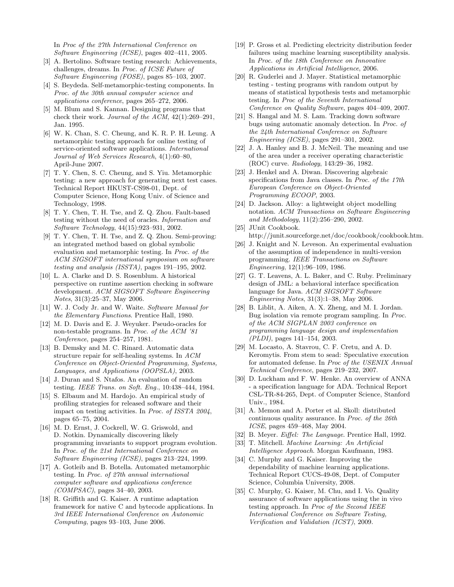In Proc of the 27th International Conference on Software Engineering (ICSE), pages 402–411, 2005.

- [3] A. Bertolino. Software testing research: Achievements, challenges, dreams. In Proc. of ICSE Future of Software Engineering (FOSE), pages 85–103, 2007.
- [4] S. Beydeda. Self-metamorphic-testing components. In Proc. of the 30th annual computer science and applications conference, pages 265–272, 2006.
- [5] M. Blum and S. Kannan. Designing programs that check their work. Journal of the ACM, 42(1):269–291, Jan. 1995.
- [6] W. K. Chan, S. C. Cheung, and K. R. P. H. Leung. A metamorphic testing approach for online testing of service-oriented software applications. International Journal of Web Services Research, 4(1):60–80, April-June 2007.
- [7] T. Y. Chen, S. C. Cheung, and S. Yiu. Metamorphic testing: a new approach for generating next test cases. Technical Report HKUST-CS98-01, Dept. of Computer Science, Hong Kong Univ. of Science and Technology, 1998.
- [8] T. Y. Chen, T. H. Tse, and Z. Q. Zhou. Fault-based testing without the need of oracles. Information and Software Technology, 44(15):923–931, 2002.
- [9] T. Y. Chen, T. H. Tse, and Z. Q. Zhou. Semi-proving: an integrated method based on global symbolic evaluation and metamorphic testing. In Proc. of the ACM SIGSOFT international symposium on software testing and analysis (ISSTA), pages 191–195, 2002.
- [10] L. A. Clarke and D. S. Rosenblum. A historical perspective on runtime assertion checking in software development. ACM SIGSOFT Software Engineering Notes, 31(3):25–37, May 2006.
- [11] W. J. Cody Jr. and W. Waite. Software Manual for the Elementary Functions. Prentice Hall, 1980.
- [12] M. D. Davis and E. J. Weyuker. Pseudo-oracles for non-testable programs. In Proc. of the ACM '81 Conference, pages 254–257, 1981.
- [13] B. Demsky and M. C. Rinard. Automatic data structure repair for self-healing systems. In ACM Conference on Object-Oriented Programming, Systems, Languages, and Applications (OOPSLA), 2003.
- [14] J. Duran and S. Ntafos. An evaluation of random testing. IEEE Trans. on Soft. Eng., 10:438–444, 1984.
- [15] S. Elbaum and M. Hardojo. An empirical study of profiling strategies for released software and their impact on testing activities. In Proc. of ISSTA 2004, pages 65–75, 2004.
- [16] M. D. Ernst, J. Cockrell, W. G. Griswold, and D. Notkin. Dynamically discovering likely programming invariants to support program evolution. In Proc. of the 21st International Conference on Software Engineering (ICSE), pages 213–224, 1999.
- [17] A. Gotleib and B. Botella. Automated metamorphic testing. In Proc. of 27th annual international computer software and applications conference  $(COMPSAC)$ , pages 34–40, 2003.
- [18] R. Griffith and G. Kaiser. A runtime adaptation framework for native C and bytecode applications. In 3rd IEEE International Conference on Autonomic Computing, pages 93–103, June 2006.
- [19] P. Gross et al. Predicting electricity distribution feeder failures using machine learning susceptibility analysis. In Proc. of the 18th Conference on Innovative Applications in Artificial Intelligence, 2006.
- [20] R. Guderlei and J. Mayer. Statistical metamorphic testing - testing programs with random output by means of statistical hypothesis tests and metamorphic testing. In Proc of the Seventh International Conference on Quality Software, pages 404–409, 2007.
- [21] S. Hangal and M. S. Lam. Tracking down software bugs using automatic anomaly detection. In Proc. of the 24th International Conference on Software Engineering (ICSE), pages 291–301, 2002.
- [22] J. A. Hanley and B. J. McNeil. The meaning and use of the area under a receiver operating characteristic (ROC) curve. Radiology, 143:29–36, 1982.
- [23] J. Henkel and A. Diwan. Discovering algebraic specifications from Java classes. In Proc. of the 17th European Conference on Object-Oriented Programming ECOOP, 2003.
- [24] D. Jackson. Alloy: a lightweight object modelling notation. ACM Transactions on Software Engineering and Methodology, 11(2):256–290, 2002.
- [25] JUnit Cookbook. http://junit.sourceforge.net/doc/cookbook/cookbook.htm.
- [26] J. Knight and N. Leveson. An experimental evaluation of the assumption of independence in multi-version programming. IEEE Transactions on Software Engineering, 12(1):96–109, 1986.
- [27] G. T. Leavens, A. L. Baker, and C. Ruby. Preliminary design of JML: a behavioral interface specification language for Java. ACM SIGSOFT Software Engineering Notes, 31(3):1–38, May 2006.
- [28] B. Liblit, A. Aiken, A. X. Zheng, and M. I. Jordan. Bug isolation via remote program sampling. In Proc. of the ACM SIGPLAN 2003 conference on programming language design and implementation (PLDI), pages 141–154, 2003.
- [29] M. Locasto, A. Stavrou, C. F. Cretu, and A. D. Keromytis. From stem to sead: Speculative execution for automated defense. In Proc of the USENIX Annual Technical Conference, pages 219–232, 2007.
- [30] D. Luckham and F. W. Henke. An overview of ANNA - a specification language for ADA. Technical Report CSL-TR-84-265, Dept. of Computer Science, Stanford Univ., 1984.
- [31] A. Memon and A. Porter et al. Skoll: distributed continuous quality assurance. In Proc. of the 26th ICSE, pages 459–468, May 2004.
- [32] B. Meyer. *Eiffel: The Language*. Prentice Hall, 1992.
- [33] T. Mitchell. Machine Learning: An Artificial Intelligence Approach. Morgan Kaufmann, 1983.
- [34] C. Murphy and G. Kaiser. Improving the dependability of machine learning applications. Technical Report CUCS-49-08, Dept. of Computer Science, Columbia University, 2008.
- [35] C. Murphy, G. Kaiser, M. Chu, and I. Vo. Quality assurance of software applications using the in vivo testing approach. In Proc of the Second IEEE International Conference on Software Testing, Verification and Validation (ICST), 2009.